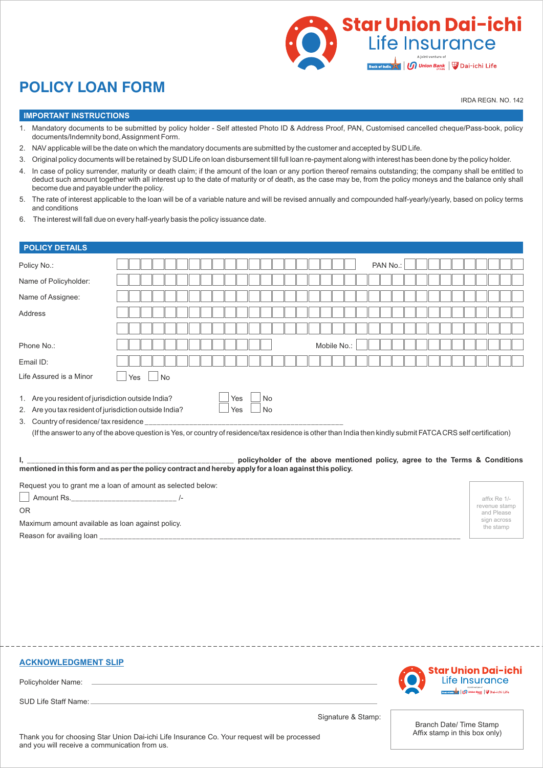

# **POLICY LOAN FORM**

IRDA REGN. NO. 142

# **IMPORTANT INSTRUCTIONS**

- 1. Mandatory documents to be submitted by policy holder Self attested Photo ID & Address Proof, PAN, Customised cancelled cheque/Pass-book, policy documents/Indemnity bond, Assignment Form.
- 2. NAV applicable will be the date on which the mandatory documents are submitted by the customer and accepted by SUD Life.
- 3. Original policy documents will be retained by SUD Life on loan disbursement till full loan re-payment along with interest has been done by the policy holder.
- 4. In case of policy surrender, maturity or death claim; if the amount of the loan or any portion thereof remains outstanding; the company shall be entitled to deduct such amount together with all interest up to the date of maturity or of death, as the case may be, from the policy moneys and the balance only shall become due and payable under the policy.
- 5. The rate of interest applicable to the loan will be of a variable nature and will be revised annually and compounded half-yearly/yearly, based on policy terms and conditions
- 6. The interest will fall due on every half-yearly basis the policy issuance date.

# **POLICY DETAILS**

| Policy No.:                                            | PAN No.:                                                                                                                                                                   |                          |  |  |  |  |  |
|--------------------------------------------------------|----------------------------------------------------------------------------------------------------------------------------------------------------------------------------|--------------------------|--|--|--|--|--|
| Name of Policyholder:                                  |                                                                                                                                                                            |                          |  |  |  |  |  |
| Name of Assignee:                                      |                                                                                                                                                                            |                          |  |  |  |  |  |
| Address                                                |                                                                                                                                                                            |                          |  |  |  |  |  |
|                                                        |                                                                                                                                                                            |                          |  |  |  |  |  |
| Phone No.:                                             | Mobile No.:                                                                                                                                                                |                          |  |  |  |  |  |
| Email ID:                                              |                                                                                                                                                                            |                          |  |  |  |  |  |
| Life Assured is a Minor                                | $\vert$ $\vert$ No<br>Yes                                                                                                                                                  |                          |  |  |  |  |  |
| 2. Are you tax resident of jurisdiction outside India? | Yes<br>No<br>(If the answer to any of the above question is Yes, or country of residence/tax residence is other than India then kindly submit FATCACRS self certification) |                          |  |  |  |  |  |
|                                                        | policyholder of the above mentioned policy, agree to the Terms & Conditions                                                                                                |                          |  |  |  |  |  |
|                                                        | Request you to grant me a loan of amount as selected below:                                                                                                                |                          |  |  |  |  |  |
|                                                        |                                                                                                                                                                            | affix Re 1/-             |  |  |  |  |  |
| revenue stamp<br><b>OR</b><br>and Please               |                                                                                                                                                                            |                          |  |  |  |  |  |
| Maximum amount available as loan against policy.       |                                                                                                                                                                            | sign across<br>the stamp |  |  |  |  |  |
|                                                        |                                                                                                                                                                            |                          |  |  |  |  |  |
|                                                        |                                                                                                                                                                            |                          |  |  |  |  |  |

|  |  |  |  |  |  |  |  | <b>ACKNOWLEDGMENT SLIP</b> |
|--|--|--|--|--|--|--|--|----------------------------|
|  |  |  |  |  |  |  |  |                            |

Policyholder Name:

SUD Life Staff Name:

itar Union Dai-ichi Life Insurance **Apple 1 Million Bank** | Dai-ichi Life

Signature & Stamp:

Branch Date/ Time Stamp Affix stamp in this box only)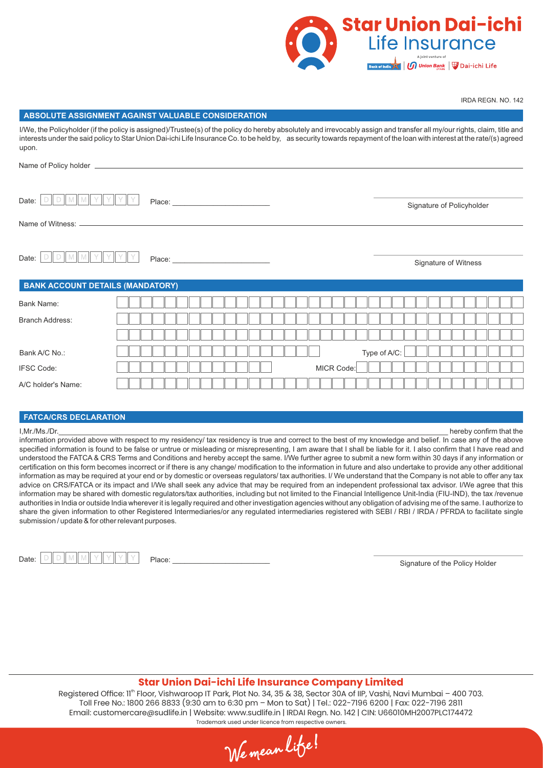

IRDA REGN. NO. 142

#### **ABSOLUTE ASSIGNMENT AGAINST VALUABLE CONSIDERATION**

I/We, the Policyholder (if the policy is assigned)/Trustee(s) of the policy do hereby absolutely and irrevocably assign and transfer all my/our rights, claim, title and interests under the said policy to Star Union Dai-ichi Life Insurance Co. to be held by, as security towards repayment of the loan with interest at the rate/(s) agreed upon.

| Date:                  |                                         |  |  |  |  |  |  |  |  |  |  |            |  |  |              |  |  | Signature of Policyholder |  |  |
|------------------------|-----------------------------------------|--|--|--|--|--|--|--|--|--|--|------------|--|--|--------------|--|--|---------------------------|--|--|
|                        |                                         |  |  |  |  |  |  |  |  |  |  |            |  |  |              |  |  |                           |  |  |
|                        |                                         |  |  |  |  |  |  |  |  |  |  |            |  |  |              |  |  |                           |  |  |
| Date:                  |                                         |  |  |  |  |  |  |  |  |  |  |            |  |  |              |  |  | Signature of Witness      |  |  |
|                        | <b>BANK ACCOUNT DETAILS (MANDATORY)</b> |  |  |  |  |  |  |  |  |  |  |            |  |  |              |  |  |                           |  |  |
| Bank Name:             |                                         |  |  |  |  |  |  |  |  |  |  |            |  |  |              |  |  |                           |  |  |
| <b>Branch Address:</b> |                                         |  |  |  |  |  |  |  |  |  |  |            |  |  |              |  |  |                           |  |  |
|                        |                                         |  |  |  |  |  |  |  |  |  |  |            |  |  |              |  |  |                           |  |  |
| Bank A/C No.:          |                                         |  |  |  |  |  |  |  |  |  |  |            |  |  | Type of A/C: |  |  |                           |  |  |
| <b>IFSC Code:</b>      |                                         |  |  |  |  |  |  |  |  |  |  | MICR Code: |  |  |              |  |  |                           |  |  |
| A/C holder's Name:     |                                         |  |  |  |  |  |  |  |  |  |  |            |  |  |              |  |  |                           |  |  |

#### **FATCA/CRS DECLARATION**

I,Mr./Ms./Dr.\_\_\_\_\_\_\_\_\_\_\_\_\_\_\_\_\_\_\_\_\_\_\_\_\_\_\_\_\_\_\_\_\_\_\_\_\_\_\_\_\_\_\_\_\_\_\_\_\_\_\_\_\_\_\_\_\_\_\_\_\_\_\_\_\_\_\_\_\_\_\_\_\_\_\_\_\_\_\_\_\_\_\_\_\_\_\_\_\_\_\_\_\_\_\_\_ hereby confirm that the

information provided above with respect to my residency/ tax residency is true and correct to the best of my knowledge and belief. In case any of the above specified information is found to be false or untrue or misleading or misrepresenting, I am aware that I shall be liable for it. I also confirm that I have read and understood the FATCA & CRS Terms and Conditions and hereby accept the same. I/We further agree to submit a new form within 30 days if any information or certification on this form becomes incorrect or if there is any change/ modification to the information in future and also undertake to provide any other additional information as may be required at your end or by domestic or overseas regulators/ tax authorities. I/ We understand that the Company is not able to offer any tax advice on CRS/FATCA or its impact and I/We shall seek any advice that may be required from an independent professional tax advisor. I/We agree that this information may be shared with domestic regulators/tax authorities, including but not limited to the Financial Intelligence Unit-India (FIU-IND), the tax /revenue authorities in India or outside India wherever it is legally required and other investigation agencies without any obligation of advising me of the same. I authorize to share the given information to other Registered Intermediaries/or any regulated intermediaries registered with SEBI / RBI / IRDA / PFRDA to facilitate single submission / update & for other relevant purposes.

| Date: |  |  |  |
|-------|--|--|--|
|       |  |  |  |

Signature of the Policy Holder Date: Place: \_\_\_\_\_\_\_\_\_\_\_\_\_\_\_\_\_\_\_\_\_\_\_\_

## **Star Union Dai-ichi Life Insurance Company Limited**

Registered Office: 11<sup>th</sup> Floor, Vishwaroop IT Park, Plot No. 34, 35 & 38, Sector 30A of IIP, Vashi, Navi Mumbai – 400 703. Toll Free No.: 1800 266 8833 (9:30 am to 6:30 pm – Mon to Sat) | Tel.: 022-7196 6200 | Fax: 022-7196 2811 Email: customercare@sudlife.in | Website: www.sudlife.in | IRDAI Regn. No. 142 | CIN: U66010MH2007PLC174472 Trademark used under licence from respective owners.

We mean lite!